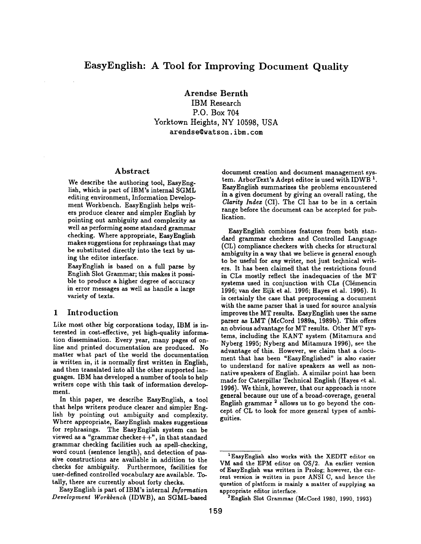Arendse Bernth

IBM Research P.O. Box 704 Yorktown Heights, NY 10598, USA arendse@watson.ibm.com

# Abstract

We describe the authoring tool, EasyEnglish, which is part of IBM's internal SGML editing environment, Information Development Workbench. EasyEnglish helps writers produce clearer and simpler English by pointing out ambiguity and complexity as well as performing some standard grammar checking. Where appropriate, EasyEnglish makes suggestions for rephrasings that may be substituted directly into the text by using the editor interface.

EasyEnglish is based on a full parse by English Slot Grammar; this makes it possible to produce a higher degree of accuracy in error messages as well as handle a large variety of texts.

## 1 Introduction

Like most other big corporations today, IBM is interested in cost-effective, yet high-quality information dissemination. Every year, many pages of online and printed documentation are produced. No matter what part of the world the documentation is written in, it is normally first written in English, and then translated into all the other supported languages. IBM has developed a number of tools to help writers cope with this task of information development.

In this paper, we describe EasyEnglish, a tool that helps writers produce clearer and simpler English by pointing out ambiguity and complexity. Where appropriate, EasyEnglish makes suggestions for rephrasings. The EasyEnglish system can be viewed as a "grammar checker $++$ ", in that standard grammar checking facilities such as spell-checking, word count (sentence length), and detection of passive constructions are available in addition to the checks for ambiguity. Furthermore, facilities for user-defined controlled vocabulary are available. Totally, there are currently about forty checks.

EasyEnglish is part of IBM's internal *Information Development Workbench* (IDWB), an SGML-based

document creation and document management system. ArborText's Adept editor is used with IDWB<sup>1</sup>. EasyEnglish summarizes the problems encountered in a given document by giving an overall rating, the *Clarity Indez* (CI). The CI has to be in a certain range before the document can be accepted for publication.

EasyEnglish combines features from both standard grammar checkers and Controlled Language (CL) compliance checkers with checks for structural ambiguity in a way that we believe is general enough to be useful for *any* writer, not just technical writers. It has been claimed that the restrictions found in CLs mostly reflect the inadequacies of the MT systems used in conjunction with CLs (Clémencin 1996; van der Eijk et al. 1996; Hayes et al. 1996). It is certainly the case that preprocessing a document with the same parser that is used for source analysis improves the MT results. EasyEnglish uses the same parser as LMT (McCord 1989a, 1989b). This offers an obvious advantage for MT results. Other MT systems, including the KANT system (Mitamura and Nyberg 1995; Nyberg and Mitamura 1996), see the advantage of this. However, we claim that a document that has been "EasyEnglished" is also easier to understand for native speakers as well as nonnative speakers of English. A similar point has been made for Caterpillar Technical English (Hayes ct al. 1996). We think, however, that our approach is more general because our use of a broad-coverage, geaeral English grammar  $2$  allows us to go beyond the concept of CL to look for more general types of ambiguities.

 $2$ English Slot Grammar (McCord 1980, 1990, 1993)

<sup>&</sup>lt;sup>1</sup> EasyEnglish also works with the XEDIT editor on VM and the EPM editor on OS/2. An earlier version of EasyEnglish was written in Prolog; however, the current version is written in pure ANSI C, and hence the question of platform is mainly a matter of supplying an appropriate editor interface.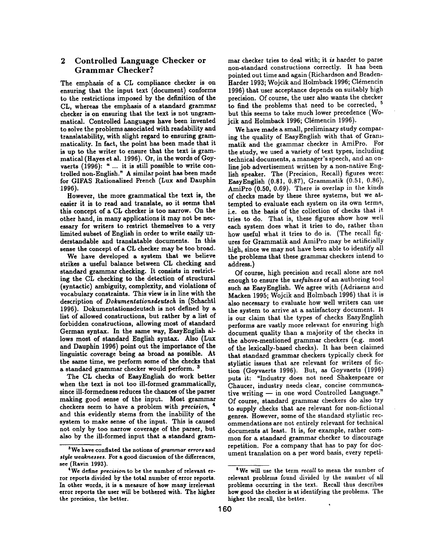# **2 Controlled Language Checker or Grammar Checker?**

The emphasis of a CL compliance checker is on ensuring that the input text (document) conforms to the restrictions imposed by the definition of the CL, whereas the emphasis of a standard grammar checker is on ensuring that the text is not ungrammatical. Controlled Languages have been invented to solve the problems associated with readability and translatability, with slight regard to ensuring grammaticality. In fact, the point has been made that it is up to the writer to ensure that the text is grammatical (Hayes et al. 1996). Or, in the words of Goyvaerts (1996): " ... it is still possible to write controlled non-English." A similar point has been made for GIFAS Rationalized French (Lux and Dauphin **1996).** 

However, the more grammatical the text is, the easier it is to read and translate, so it seems that this concept of a CL checker is too narrow. On the other hand, in many applications it may not be necessary for writers to restrict themselves to a very limited subset of English in order to write easily understandable and translatable documents. In this sense the concept of a CL checker may be too broad.

We have developed a system that we believe strikes a useful balance between CL checking and standard grammar checking. It consists in restricting the CL checking to the detection of structural (syntactic) ambiguity, complexity, and violations of vocabulary constraints. This view is in line with the description of *Dokumentationsdeutsch* in (Schachtl 1996). Dokumentationsdeutsch is not defined by a list of allowed constructions, but rather by a list of forbidden constructions, allowing most of standard German syntax. In the same way, EasyEnglish allows most of standard English syntax. Also (Lux and Dauphin 1996) point out the importance of the linguistic coverage being as broad as possible. At the same time, we perform some of the checks that a standard grammar checker would perform.<sup>3</sup>

The CL checks of EasyEnglish do work better when the text is not too ill-formed grammatically, since ill-formedness reduces the chances of the parser making good sense of the input. Most grammar checkers seem to have a problem with *precision, 4*  and this evidently stems from the inability of the system to make sense of the input. This is caused not only by too narrow coverage of the parser, but also by the ill-formed input that a standard grammar checker tries to deal with; it is harder to parse non-standard constructions correctly. It has been pointed out time and again (Richardson and Braden-Harder 1993; Wojcik and Holmback 1996; Clémencin 1996) that user acceptance depends on suitably high precision. Of course, the user also wants the checker to find the problems that need to be corrected, <sup>5</sup> but this seems to take much lower precedence (Wojcik and Holmback 1996; C16mencin 1996).

We have made a small, preliminary study comparing the quality of EasyEnglish with that of Grammatik and the grammar checker in AmiPro. For the study, we used a variety of text types, including technical documents, a manager's speech, and an online job advertisement written by a non-native English speaker. The (Precision, Recall) figures were: EasyEnglish (0.81, 0.87), Grammatik (0.51, 0.86), AmiPro (0.50, 0.69). There is overlap in the kinds of checks made by these three systems, but we attempted to evaluate each system on its own terms, i.e. on the basis of the collection of checks that it. tries to do. That is, these figures show how well each system does what it tries to do, rather than how useful what it tries to do is. (The recall figures for Grammatik and AmiPro may be artificially high, since we may not have been able to identify all the problems that these grammar checkers intend to address.)

Of course, high precision and recall alone are not enough to ensure the *usefulness* of an authoring tool such as EasyEnglish. We agree with (Adriaens and Macken 1995; Wojcik and Holmbach 1996) that it is also necessary to evaluate how well writers can use the system to arrive at a satisfactory document. It is our claim that the types of checks EasyEnglish performs are vastly more relevant for ensuring high document quality than a majority of the checks in the above-mentioned grammar checkers (e.g. most of the lexically-based checks). It has been claimed that standard grammar checkers typically check for stylistic issues that are relevant for writers of fiction (Goyvaerts 1996). But, as Goyvaerts (1996) puts it: "Industry does not need Shakespeare or Chaucer, industry needs clear, concise communcative writing -- in one word Controlled Language." Of course, standard grammar checkers do also try to supply checks that are relevant for non-fictional genres. However, some of the standard stylistic recommendations are not entirely relevant for technical documents at least. It is, for example, rather common for a standard grammar checker to discourage repetition. For a company that has to pay for document translation on a per word basis, every repeti-

<sup>3</sup>We have conflated the notions of *grammar errors* and style weaknesses. For a good discussion of the differences, see (Ravin 1993).

<sup>4</sup>We define *precision* to be the number of relevant error reports divided by the total number of error reports. In other words, it is a measure of how many irrelevant error reports the user will be bothered with. The higher the precision, the better.

<sup>5</sup>We will use the term *recall* to mean the number of relevant problems found divided by the number of all problems occurring in the text. Recall thus describes how good the checker is at identifying the problems. The higher the recall, the better.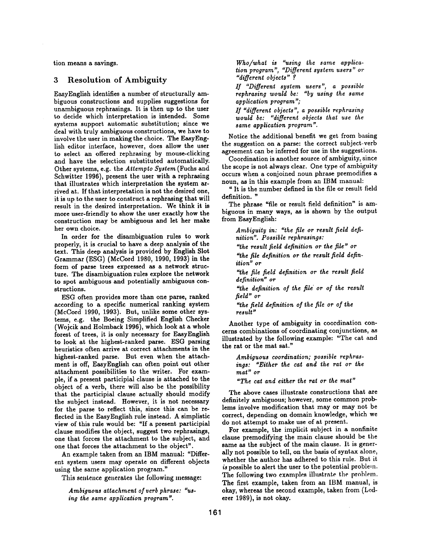tion means a savings.

# 3 Resolution of Ambiguity

EasyEnglish identifies a number of structurally ambiguous constructions and supplies suggestions for unambiguous rephrasings. It is then up to the user to decide which interpretation is intended. Some systems support automatic substitution; since we deal with truly ambiguous constructions, we have to involve the user in making the choice. The EasyEnglish editor interface, however, does allow the user to select an offered rephrasing by mouse-clicking and have the selection substituted automatically. Other systems, e.g. the *Attempto System* (Fuchs and Schwitter 1996), present the user with a rephrasing that illustrates which interpretation the system arrived at. If that interpretation is not the desired one, it is up to the user to construct a rephrasing that will result in the desired interpretation. We think it is more user-friendly to show the user exactly how the construction may be ambiguous and let her make her own choice.

In order for the disambiguation rules to work properly, it is crucial to have a deep analysis of the text. This deep analysis is provided by English Slot Grammar (ESG) (McCord 1980, 1990, 1993) in the form of parse trees expressed as a network structure. The disambiguation rules explore the network to spot ambiguous and potentially ambiguous constructions.

ESG often provides more than one parse, ranked according to a specific numerical ranking system (McCord 1990, 1993). But, unlike some other systems, e.g. the Boeing Simplified English Checker (Wojcik and Holmback 1996), which look at a whole forest of trees, it is only necessary for EasyEnglish to look at the highest-ranked parse. ESG parsing heuristics often arrive at correct attachments in the highest-ranked parse. But even when the attachment is off, EasyEnglish can often point out other attachment possibilities to the writer. For exampie, if a present participial clause is attached to the object of a verb, there will also be the possibility that the participial clause actually should modify the subject instead. However, it is not necessary for the parse to reflect this, since this can be reflected in the EasyEnglish rule instead. A simplistic view of this rule would be: *"If* a present participial clause modifies the object, suggest two rephrasings, one that forces the attachment to the subject, and one that forces the attachment to the object".

An example taken from an IBM manual: "Different system users may operate on different objects using the same application program."

This sentence generates the following message:

*Ambiguous attachment of verb phrase: "using the same application program".* 

*Who/what is "using the same application program", "Different system users" or "different objects" ?* 

*If "Different system users", a possible rephrasing would be: "by using the same application program";* 

*If "different objects", a possible rephrasing would be: "different objects that use the same application program".* 

Notice the additional benefit we get from basing the suggestion on a parse: the correct subject-verb agreement can be inferred for use in the suggestions.

Coordination is another source of ambiguity, since the scope is not always clear. One type of ambiguity occurs when a conjoined noun phrase premodifies a noun, as in this example from an IBM manual:

" It is the number defined in the file or result field definition. "

The phrase "file or result field definition" is ambiguous in many ways, as is shown by the output from EasyEnglish:

*Ambiguity in: "the file or result field definition". Possible rephrasings: '`the result field definition or the file" or "the file definition or the result field definition" or "the file field definition or the result field definition" or "the definition of the file or of the result field" or "the field definition of the file or of the result"* 

Another type of ambiguity in coordination concerns combinations of coordinating conjunctions, as illustrated by the following example: "The cat and the rat or the mat sat."

*Ambiguous coordination; possible rephraslags: "Either the cat and the rat or the mat" or* 

*"The cat and either the rat or the mat"* 

The above cases illustrate constructions that are definitely ambiguous; however, some common problems involve modification that may or may not be correct, depending on domain knowledge, which we do not attempt to make use of at present.

For example, the implicit subject in a nonfinite clause premodifying the main clause should be the same as the subject of the main clause. It is generally not possible to tell, on the basis of syntax alone, whether the author has adhered to this rule. But it *is* possible to alert the user to the potential problem. The following two examples illustrate the problem. The first example, taken from an IBM manual, is okay, whereas the second example, taken from (Lederer 1989), is not okay.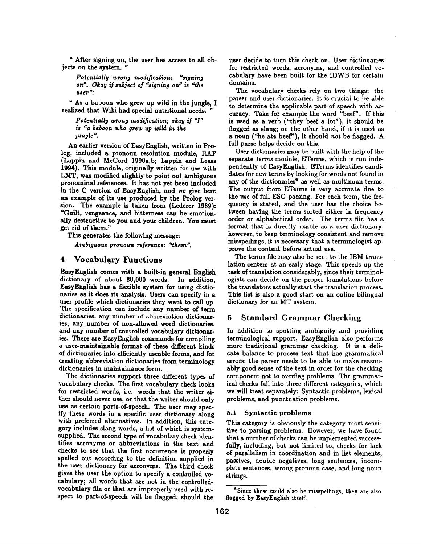" After signing on, the user has access to all objects on the system. "

 $Potential$ y wrong modification: "signing *on". Okay if subject of "signing on" is "the user":* 

" As a baboon who grew up wild in the jungle, I realized that Wiki had special nutritional needs. "

*Potentially wrong modification; okay if "I" is "a baboon who grew up mild in the jungle".* 

An earlier version of EasyEnglish, written in Prolog, included a pronoun resolution module, RAP (Lappin and McCord 1990a,b; Lappin and Leass 1994). This module, originally written for use with LMT, was modified slightly to point out ambiguous pronominal references. It has not yet been included in the C version of EasyEnglish, and we give here an example of its use produced by the Prolog version. The example is taken from (Lederer 1989): =Guilt, vengeance, and bitterness can be emotionally destructive to you and your children. You must get rid of them."

This generates the following message:

*Ambiguous pronoun reference: '2hem".* 

### 4 Vocabulary Functions

EasyEnglish comes with a built-in general English dictionary of about 80,000 words. In addition, EasyEnglish has a flexible system for using dictionaries as it does its analysis. Users can specify in a user profile which dictionaries they want to call up. The specification can include any number of term dictionaries, any number of abbreviation dictionaries, any number of non-allowed word dictionaries, and any number of controlled vocabulary dictionaries. There are EasyEnglish commands for compiling a user-maintainable format of these different kinds of dictionaries into efficiently useable forms, and for creating abbreviation dictionaries from terminology dictionaries in maintainance form.

The dictionaries support three different types of vocabulary checks. The first vocabulary check looks for restricted words, i.e. words that the writer either should never use, or that the writer should only use as certain parts-of-speech. The user may specify these words in a specific user dictionary along with preferred alternatives. In addition, this category includes slang words, a list of which is systemsupplied. The second type of vocabulary check identifies acronyms or abbreviations in the text and checks to see that the first occurrence is properly spelled out according to the definition supplied in the user dictionary for acronyms. The third check gives the user the option to specify a controlled vocabulary; all words that are not in the controlledvocabulary file or that are improperly used with respect to part-of-speech will be flagged, should the

user decide to turn this check on. User dictionaries for restricted words, acronyms, and controlled vocabulary have been built for the IDWB for certain domains.

The vocabulary checks rely on two things: the parser and user dictionaries. It is crucial to be able to determine the applicable part of speech with accuracy. Take for example the word "beef". If this is used as a verb ("they beef a lot"), it should be flagged as slang; on the other hand, if it is used as a noun ("he ate beef"), it should *not* be flagged. A full parse helps decide on this.

User dictionaries may be built with the help of the separate *terms* module, ETerms, which is run independently of EasyEnglish. ETerms identifies candidates for new terms by looking for words not found in any of the dictionaries<sup>6</sup> as well as multinoun terms. The output from ETerms is very accurate due to the use of full ESG parsing. For each term, the frequency is stated, and the user has the choice between having the terms sorted either in frequency order or alphabetical order. The terms file has a format that is directly usable as a user dictionary; however, to keep terminology consistent and remove misspellings, it is necessary that a terminologist approve the content before actual use.

The terms file may also be sent to the IBM translation centers at an early stage. This speeds up the task of translation considerably, since their terminologists can decide on the proper translations before the translators actually start the translation process. This list is also a good start on an online bilingual dictionary for an MT system.

## 5 Standard Grammar Checking

In addition to spotting ambiguity and providing terminological support, EasyEnglish also performs more traditional grammar checking. It is a delicate balance to process text that has grammatical errors; the parser needs to be able to make reasonably good sense of the text in order for the checking component not to overflag problems. The grammatical checks fall into three different categories, which we will treat separately: Syntactic problems, lexical problems, and punctuation problems.

#### 5.1 Syntactic problems

This category is obviously the category most sensitive to parsing problems. However, we have found that a number of checks can be implemented successfully, including, but not limited to, checks for lack of parallelism in coordination and in list elements, passives, double negatives, long sentences, incomplete sentences, wrong pronoun case, and long noun strings.

<sup>&</sup>lt;sup>6</sup>Since these could also be misspellings, they are also flagged by EasyEnglish itself.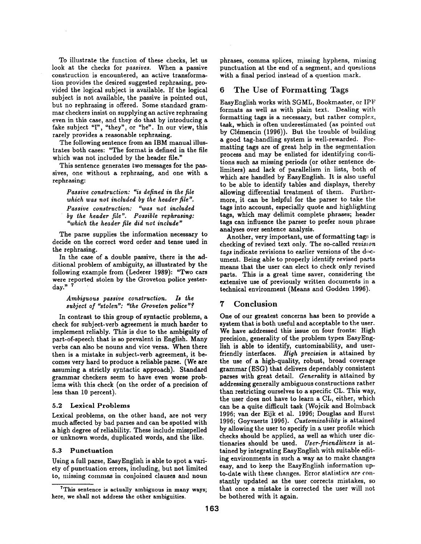To illustrate the function of these checks, let us look at the checks for *passives.* When a passive construction is encountered, an active transformation provides the desired suggested rephrasing, provided the logical subject is available. If the logical subject is not available, the passive is pointed out, but no rephrasing is offered. Some standard grammar checkers insist on supplying an active rephrasing even in this case, and they do that by introducing a fake subject 'T', "they", or "he". In our view, this rarely provides a reasonable iephrasing.

The following sentence from an IBM manual illustrates both cases: "The format is defined in the file which was not included by the header file."

This sentence generates two messages for the passives, one without a rephrasing, and one with a rephrasing:

*Passive construction: ~is defined in the file which was not included by the header file". Passive construction: "was not included by the header file". Possible rephrasing: "which the header file did not include"* 

The parse supplies the information necessary to decide on the correct word order and tense used in the rephrasing.

In the case of a double passive, there is the additional problem of ambiguity, as illustrated by the following example from (Lederer 1989): "Two cars were reported stolen by the Groveton police yesterday." $7$ 

*Ambiguous passive construction. Is the*  subject of "stolen": "the Groveton police"?

In contrast to this group of syntactic problems, a check for subject-verb agreement is much harder to implement reliably. This is due to the ambiguity of part-of-speech that is so prevalent in English. Many verbs can also be nouns and vice versa. When there then is a mistake in subject-verb agreement, it becomes very hard to produce a reliable parse. (We are assuming a strictly syntactic approach). Standard grammar checkers seem to have even worse problems with this check (on the order of a precision of less than 10 percent).

### 5.2 Lexical Problems

Lexical problems, on the other hand, are not very much affected by bad parses and can be spotted with a high degree of reliability. These include misspelled or unknown words, duplicated words, and the like.

#### 5.3 Punctuation

Using a full parse, EasyEnglish is able to spot a variety of punctuation errors, including, but not limited to, missing commas in conjoined clauses and noun

phrases, comma splices, missing hyphens, missing punctuation at the end of a segment, and questions with a final period instead of a question mark.

# 6 The Use of Formatting Tags

EasyEnglish works with SGML, Bookmaster, or IPF formats as well as with plain text. Dealing with formatting tags is a necessary, but rather complex, task, which is often underestimated (as pointed out by Clémencin (1996)). But the trouble of building a good tag-handling system is well-rewarded. Formatting tags are of great help in the segmentation process and may be enlisted for identifying conditions such as missing periods (or other sentence delimiters) and lack of parallelism in lists, both of which are handled by EasyEnglish. It is also useful to be able to identify tables and displays, thereby allowing differential treatment of them. Furthermore, it can be helpful for the parser to take the tags into account, especially quote and highlighting tags, which may delimit complete phrases; header tags can influence the parser to prefer noun phrase analyses over sentence analysis.

Another, very important, use of formatting tags is checking of revised text only. The so-called *revision* tags indicate revisions to earlier versions of the document. Being able to properly identify revised parts means that the user can elect to check only revised parts. This is a great time saver, considering the extensive use of previously written documents in a technical environment (Means and Godden 1996).

# **7** Conclusion

One of our greatest concerns has been to provide a system that is both useful and acceptable to the user. We have addressed this issue on four fronts: High precision, generality of the problem types EasyEnglish is able to identify, customizability, and userfriendly interfaces. *High precision* is attained by the use of a high-quality, robust, broad coverage grammar (ESG) that delivers dependably consistent parses with great detail. *Generality* is attained by addressing generally ambiguous constructions rather than restricting ourselves to a specific CL. This way, the user does not have to learn a CL, either, which can be a quite difficult task (Wojcik and Holmback 1996; van der Eijk et al. 1996; Douglas and Hurst 1996; Ooyvaerts 1996). *Customizability* is attained by allowing the user to specify in a user profile which checks should be applied, as well as which user dictionaries should be used. *User-friendliness* is attained by integrating EasyEnglish with suitable editing environments in such a way as to make changes easy, and to keep the EasyEnglish information upto-date with these changes. Error statistics are constantly updated as the user corrects mistakes, so that once a mistake is corrected the user will not be bothered with it again.

<sup>7</sup>This sentence is actually ambiguous in many ways; here, we shall not address the other ambiguities.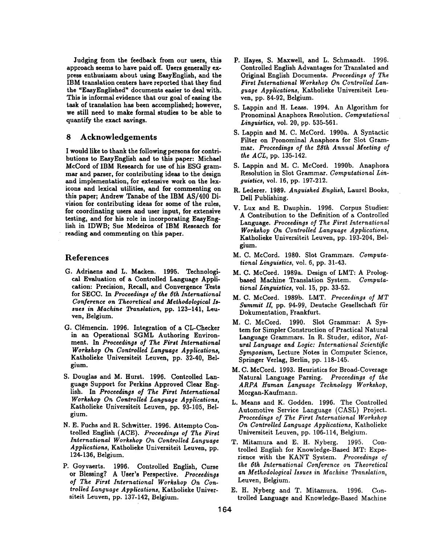Judging from the feedback from our users, this approach seems to have paid off. Users generally express enthusiasm about using EasyEnglish, and the IBM translation centers have reported that they find the "EasyEnglished" documents easier to deal with. This is informal evidence that our goal of easing the task of translation has been accomplished; however, we still need to make formal studies to be able to quantify the exact savings.

# 8 Acknowledgements

I would like to thank the following persons for contributions to EasyEnglish and to this paper: Michael McCord of IBM Research for use of his ESG grammar and parser, for contributing ideas to the design **and** implementation, for extensive work on the lexicons and lexical utilities, and for commenting on this paper; Andrew Tanabe of the IBM AS/400 Division for contributing ideas for some of the rules, for coordinating users and user input, for extensive testing, and for his role in incorporating EasyEnglish in IDWB; Sue Medeiros of IBM Research for reading and commenting on this paper.

### References

- G. Adrisens and L. Macken. 1995. Technological Evaluation of a Controlled Language Application: Precision, Recall, and Convergence Tests for SECC. In *Proceedings of the 6th International Conference on Theoretical and Methodological Issues in Machine Translation, pp.* 123-141, Leuyen, Belgium.
- G. Clémencin. 1996. Integration of a CL-Checker in an Operational SGML Authoring Environment. In *Proceedings of The First International Workshop On Controlled Language Applications,*  Katholieke Universiteit Leuven, pp. 32-40, Belgium.
- S. Douglas and M. Hurst. 1996. Controlled Language Support for Perkins Approved Clear English. In *Proceedings of The First International Workshop On Controlled Language Applications,*  Katholieke Universiteit Leuven, pp. 93-105, Belgium.
- N. E. Fuchs and R. Schwitter. 1996. Attempto Controlled English (ACE). *Proceedings of The First International Workshop On Controlled Language Applications,* Katholieke Universiteit Leuven, pp. 124-136, Belgium.
- P. Goyvaerts. 1996. Controlled English, Curse or Blessing? A User's Perspective. *Proceedings of The First International Workshop On Controlled Language Applications,* Katholieke Universiteit Leuven, pp. 137-142, Belgium.
- P. Hayes, S. Maxwell, and L. Schmandt. 1996. Controlled English Advantages for Translated and Original English Documents. *Proceedings of The First International Workshop On Controlled Language Applications,* Katholieke Universiteit Leuyen, pp. 84-92, Belgium.
- S. Lappin and H. Leass. 1994. An Algorithm for Pronominal Anaphora Resolution. *Computational Linguistics,* vol. 20, pp. 535-561.
- S. Lappin and M. C. McCord. 1990a. A Syntactic Filter on Pronominal Anaphora for Slot Grammar. *Proceedings of the ~Sth Annual Meeting of the ACL,* pp. 135-142.
- S. Lappin and M. C. McCord. 1990b. Anaphora Resolution in Slot Grammar. *Computational Linguistics,* vol. 16, pp. 197-212.
- R. Lederer. 1989. *Anguished English,* Laurel Books, Dell Publishing.
- V. Lux and E. Dauphin. 1996. Corpus Studies: A Contribution to the Definition of a Controlled Language. *Proceedings of The First International Workshop On Controlled Language Applications,*  Katholieke Universiteit Leuven, pp. 193-204, Belgium.
- M. C. McCord. 1980. Slot Grammars. *Computational Linguistics,* vol. 6, pp. 31-43.
- M. C. McCord. 1989a. Design of LMT: A Prologbased Machine Translation System. *Computational Linguistics,* vol. 15, pp. 33-52.
- M. C. McCord. 1989b. LMT. *Proceedings of MT*  Summit II, pp. 94-99, Deutsche Gesellschaft für Dokumentation, Frankfurt.
- M. C. McCord. 1990. Slot Grammar: A System for Simpler Construction of Practical Natural Language Grammars. In R. Studer, editor, *Natural Language and Logic: International Scientific Symposium,* Lecture Notes in Computer Science, Springer Verlsg, Berlin, pp. 118-145.
- M. C. McCord. 1993. Heuristics for Broad-Coverage Natural Language Parsing. *Proceedings of the ARPA Human Language Technology Workshop,*  Morgan-Kaufmann.
- L. Means and K. Godden. 1996. The Controlled Automotive Service Language (CASL) Project. *Proceedings of The First International Workshop On Controlled Language Applications,* Katholieke Universiteit Leuven, pp. 106-114, Belgium.
- T. Mitamura and E. H. Nyberg. 1995. Controlled English for Knowledge-Based MT: Experience with the *KANT* System. *Proceedings of the 6th International Conference on Theoretical an Methodological Issues in Machine Translation,*  Leuven, Belgium.
- E. H. Nyberg and T. Mitamura. 1996. Controlled Language and Knowledge-Based Machine